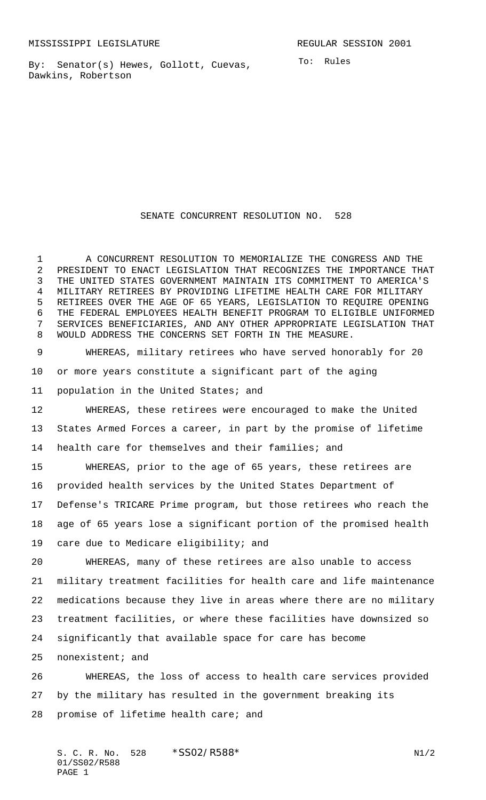By: Senator(s) Hewes, Gollott, Cuevas, Dawkins, Robertson

## SENATE CONCURRENT RESOLUTION NO. 528

 A CONCURRENT RESOLUTION TO MEMORIALIZE THE CONGRESS AND THE PRESIDENT TO ENACT LEGISLATION THAT RECOGNIZES THE IMPORTANCE THAT THE UNITED STATES GOVERNMENT MAINTAIN ITS COMMITMENT TO AMERICA'S MILITARY RETIREES BY PROVIDING LIFETIME HEALTH CARE FOR MILITARY RETIREES OVER THE AGE OF 65 YEARS, LEGISLATION TO REQUIRE OPENING THE FEDERAL EMPLOYEES HEALTH BENEFIT PROGRAM TO ELIGIBLE UNIFORMED SERVICES BENEFICIARIES, AND ANY OTHER APPROPRIATE LEGISLATION THAT WOULD ADDRESS THE CONCERNS SET FORTH IN THE MEASURE.

 WHEREAS, military retirees who have served honorably for 20 or more years constitute a significant part of the aging population in the United States; and

 WHEREAS, these retirees were encouraged to make the United States Armed Forces a career, in part by the promise of lifetime health care for themselves and their families; and

 WHEREAS, prior to the age of 65 years, these retirees are provided health services by the United States Department of Defense's TRICARE Prime program, but those retirees who reach the age of 65 years lose a significant portion of the promised health care due to Medicare eligibility; and

 WHEREAS, many of these retirees are also unable to access military treatment facilities for health care and life maintenance medications because they live in areas where there are no military treatment facilities, or where these facilities have downsized so significantly that available space for care has become

nonexistent; and

 WHEREAS, the loss of access to health care services provided by the military has resulted in the government breaking its promise of lifetime health care; and

S. C. R. No. \*SS02/R588\* N1/2 01/SS02/R588 PAGE 1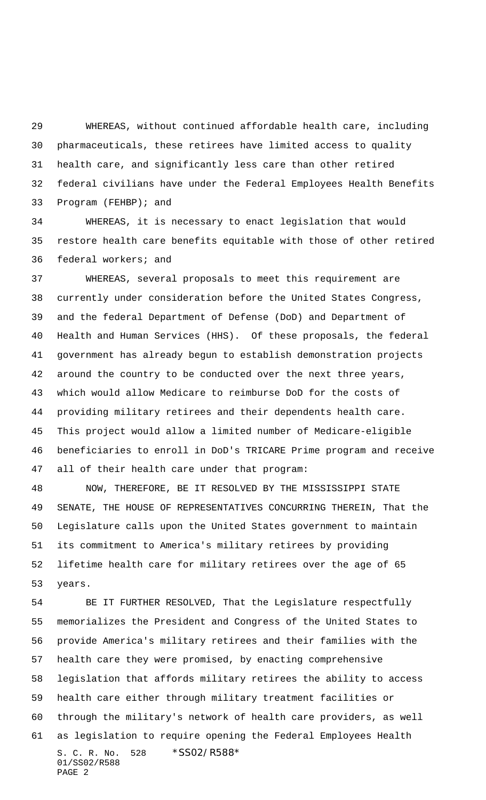WHEREAS, without continued affordable health care, including pharmaceuticals, these retirees have limited access to quality health care, and significantly less care than other retired federal civilians have under the Federal Employees Health Benefits Program (FEHBP); and

 WHEREAS, it is necessary to enact legislation that would restore health care benefits equitable with those of other retired federal workers; and

 WHEREAS, several proposals to meet this requirement are currently under consideration before the United States Congress, and the federal Department of Defense (DoD) and Department of Health and Human Services (HHS). Of these proposals, the federal government has already begun to establish demonstration projects around the country to be conducted over the next three years, which would allow Medicare to reimburse DoD for the costs of providing military retirees and their dependents health care. This project would allow a limited number of Medicare-eligible beneficiaries to enroll in DoD's TRICARE Prime program and receive all of their health care under that program:

 NOW, THEREFORE, BE IT RESOLVED BY THE MISSISSIPPI STATE SENATE, THE HOUSE OF REPRESENTATIVES CONCURRING THEREIN, That the Legislature calls upon the United States government to maintain its commitment to America's military retirees by providing lifetime health care for military retirees over the age of 65 years.

S. C. R. No. 528 \*SS02/R588\* 01/SS02/R588 PAGE 2 BE IT FURTHER RESOLVED, That the Legislature respectfully memorializes the President and Congress of the United States to provide America's military retirees and their families with the health care they were promised, by enacting comprehensive legislation that affords military retirees the ability to access health care either through military treatment facilities or through the military's network of health care providers, as well as legislation to require opening the Federal Employees Health